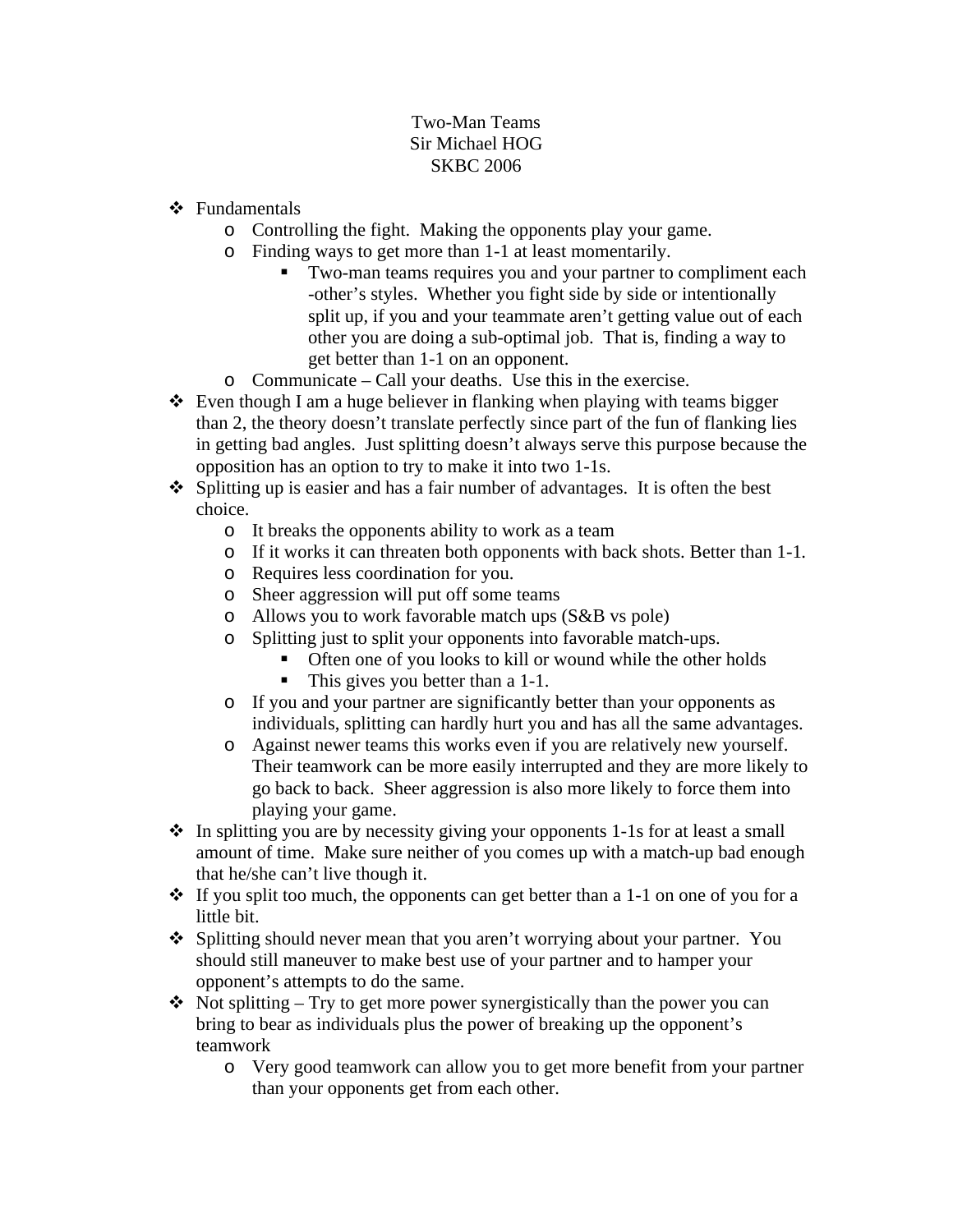## Two-Man Teams Sir Michael HOG SKBC 2006

- $\div$  Fundamentals
	- o Controlling the fight. Making the opponents play your game.
	- o Finding ways to get more than 1-1 at least momentarily.
		- Two-man teams requires you and your partner to compliment each -other's styles. Whether you fight side by side or intentionally split up, if you and your teammate aren't getting value out of each other you are doing a sub-optimal job. That is, finding a way to get better than 1-1 on an opponent.
	- o Communicate Call your deaths. Use this in the exercise.
- $\triangle$  Even though I am a huge believer in flanking when playing with teams bigger than 2, the theory doesn't translate perfectly since part of the fun of flanking lies in getting bad angles. Just splitting doesn't always serve this purpose because the opposition has an option to try to make it into two 1-1s.
- $\triangleleft$  Splitting up is easier and has a fair number of advantages. It is often the best choice.
	- o It breaks the opponents ability to work as a team
	- o If it works it can threaten both opponents with back shots. Better than 1-1.
	- o Requires less coordination for you.
	- o Sheer aggression will put off some teams
	- o Allows you to work favorable match ups (S&B vs pole)
	- o Splitting just to split your opponents into favorable match-ups.
		- Often one of you looks to kill or wound while the other holds
			- This gives you better than a 1-1.
	- o If you and your partner are significantly better than your opponents as individuals, splitting can hardly hurt you and has all the same advantages.
	- o Against newer teams this works even if you are relatively new yourself. Their teamwork can be more easily interrupted and they are more likely to go back to back. Sheer aggression is also more likely to force them into playing your game.
- $\triangleleft$  In splitting you are by necessity giving your opponents 1-1s for at least a small amount of time. Make sure neither of you comes up with a match-up bad enough that he/she can't live though it.
- $\cdot \cdot$  If you split too much, the opponents can get better than a 1-1 on one of you for a little bit.
- Splitting should never mean that you aren't worrying about your partner. You should still maneuver to make best use of your partner and to hamper your opponent's attempts to do the same.
- $\triangle$  Not splitting Try to get more power synergistically than the power you can bring to bear as individuals plus the power of breaking up the opponent's teamwork
	- o Very good teamwork can allow you to get more benefit from your partner than your opponents get from each other.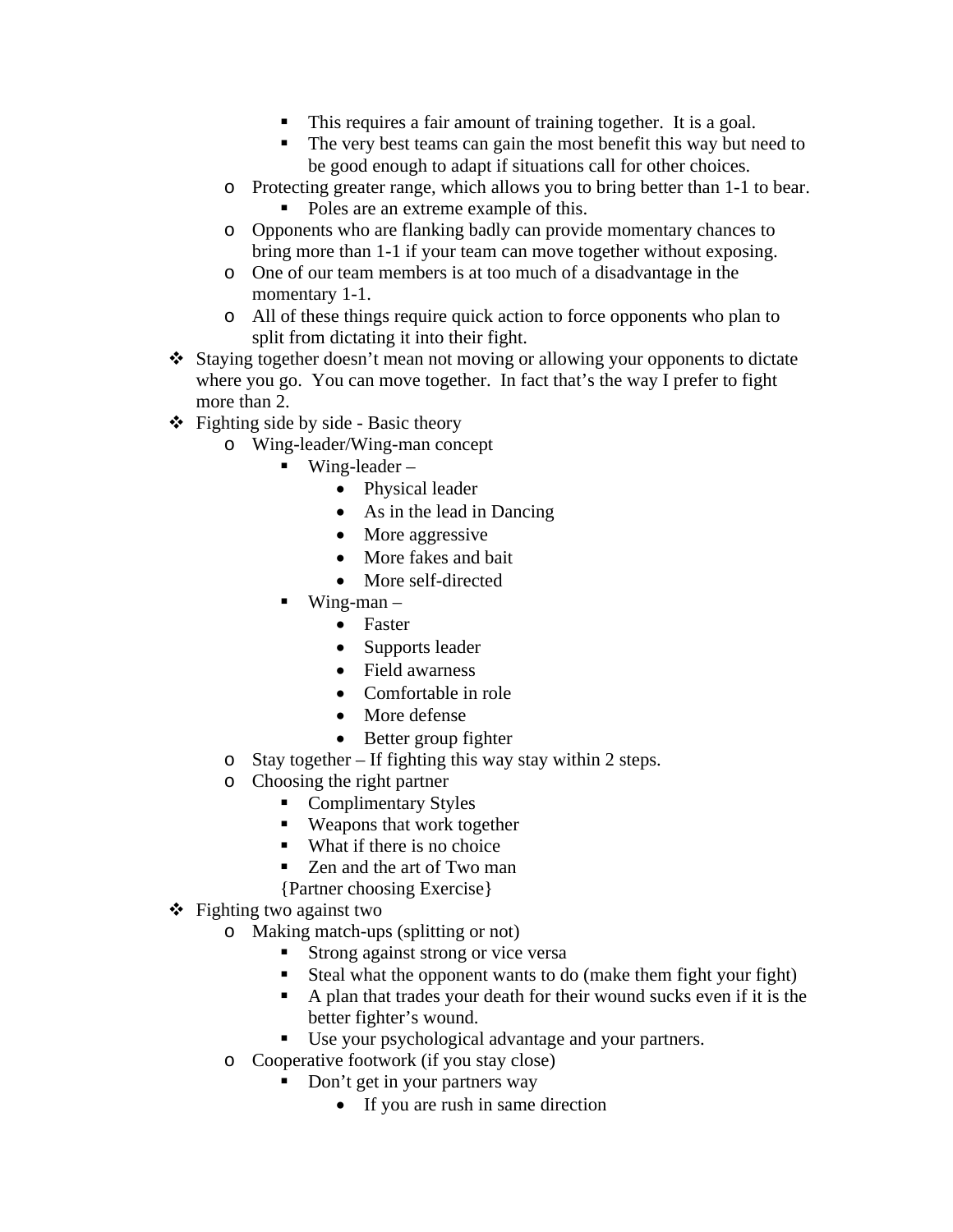- This requires a fair amount of training together. It is a goal.
- The very best teams can gain the most benefit this way but need to be good enough to adapt if situations call for other choices.
- o Protecting greater range, which allows you to bring better than 1-1 to bear.
	- Poles are an extreme example of this.
- o Opponents who are flanking badly can provide momentary chances to bring more than 1-1 if your team can move together without exposing.
- o One of our team members is at too much of a disadvantage in the momentary 1-1.
- o All of these things require quick action to force opponents who plan to split from dictating it into their fight.
- Staying together doesn't mean not moving or allowing your opponents to dictate where you go. You can move together. In fact that's the way I prefer to fight more than 2.
- $\triangleleft$  Fighting side by side Basic theory
	- o Wing-leader/Wing-man concept
		- Wing-leader
			- Physical leader
			- As in the lead in Dancing
			- More aggressive
			- More fakes and bait
			- More self-directed
		- Wing-man
			- Faster
			- Supports leader
			- Field awarness
			- Comfortable in role
			- More defense
			- Better group fighter
	- o Stay together If fighting this way stay within 2 steps.
	- o Choosing the right partner
		- Complimentary Styles
		- Weapons that work together
		- What if there is no choice
		- Zen and the art of Two man
		- {Partner choosing Exercise}
- Fighting two against two
	- o Making match-ups (splitting or not)
		- **Strong against strong or vice versa**
		- Steal what the opponent wants to do (make them fight your fight)
		- A plan that trades your death for their wound sucks even if it is the better fighter's wound.
		- Use your psychological advantage and your partners.
	- o Cooperative footwork (if you stay close)
		- Don't get in your partners way
			- If you are rush in same direction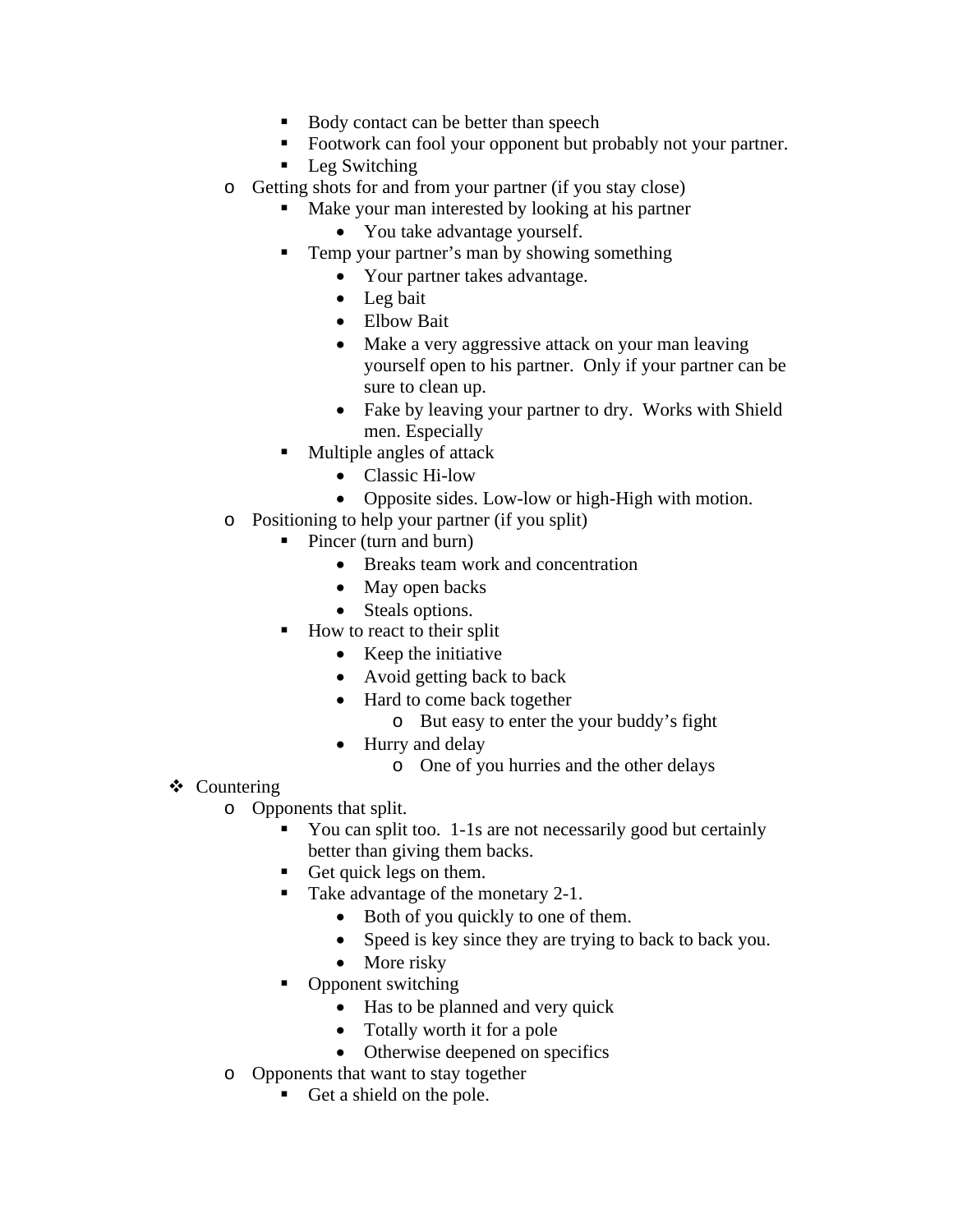- Body contact can be better than speech
- Footwork can fool your opponent but probably not your partner.
- Leg Switching
- o Getting shots for and from your partner (if you stay close)
	- Make your man interested by looking at his partner
		- You take advantage yourself.
		- Temp your partner's man by showing something
			- Your partner takes advantage.
			- Leg bait
			- Elbow Bait
			- Make a very aggressive attack on your man leaving yourself open to his partner. Only if your partner can be sure to clean up.
			- Fake by leaving your partner to dry. Works with Shield men. Especially
	- Multiple angles of attack
		- Classic Hi-low
		- Opposite sides. Low-low or high-High with motion.
- o Positioning to help your partner (if you split)
	- Pincer (turn and burn)
		- Breaks team work and concentration
		- May open backs
		- Steals options.
	- How to react to their split
		- Keep the initiative
		- Avoid getting back to back
		- Hard to come back together
			- o But easy to enter the your buddy's fight
		- Hurry and delay
			- o One of you hurries and the other delays
- Countering
	- o Opponents that split.
		- You can split too. 1-1s are not necessarily good but certainly better than giving them backs.
		- Get quick legs on them.
		- Take advantage of the monetary 2-1.
			- Both of you quickly to one of them.
			- Speed is key since they are trying to back to back you.
			- More risky
		- Opponent switching
			- Has to be planned and very quick
			- Totally worth it for a pole
			- Otherwise deepened on specifics
	- o Opponents that want to stay together
		- Get a shield on the pole.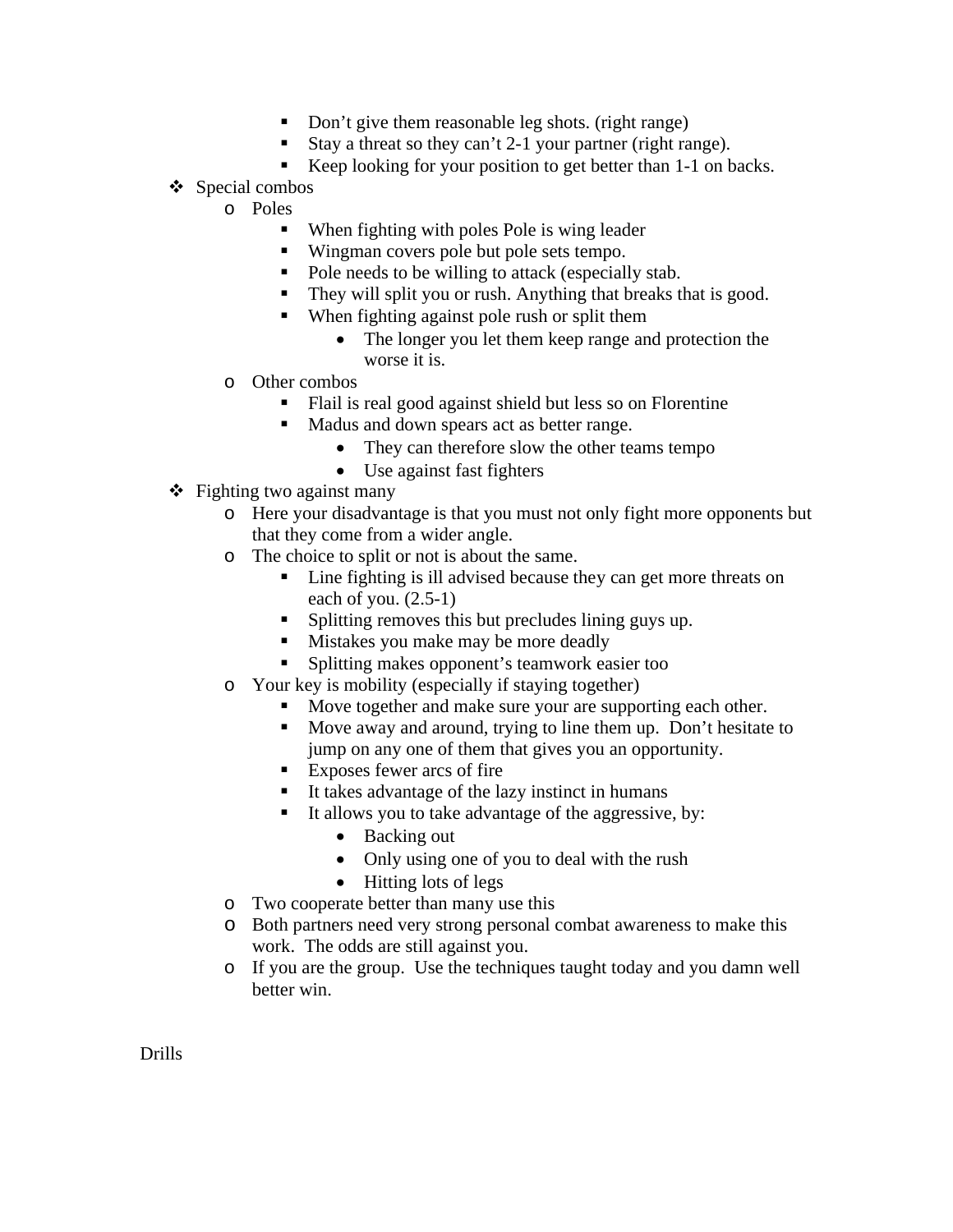- Don't give them reasonable leg shots. (right range)
- Stay a threat so they can't 2-1 your partner (right range).
- Keep looking for your position to get better than 1-1 on backs.
- $\triangle$  Special combos
	- o Poles
		- When fighting with poles Pole is wing leader
		- Wingman covers pole but pole sets tempo.
		- Pole needs to be willing to attack (especially stab.
		- They will split you or rush. Anything that breaks that is good.
		- When fighting against pole rush or split them
			- The longer you let them keep range and protection the worse it is.
	- o Other combos
		- Flail is real good against shield but less so on Florentine
		- Madus and down spears act as better range.
			- They can therefore slow the other teams tempo
			- Use against fast fighters
- $\triangle$  Fighting two against many
	- o Here your disadvantage is that you must not only fight more opponents but that they come from a wider angle.
	- o The choice to split or not is about the same.
		- Line fighting is ill advised because they can get more threats on each of you. (2.5-1)
			- Splitting removes this but precludes lining guys up.
			- **Mistakes you make may be more deadly**
			- Splitting makes opponent's teamwork easier too
	- o Your key is mobility (especially if staying together)
		- Move together and make sure your are supporting each other.
		- Move away and around, trying to line them up. Don't hesitate to jump on any one of them that gives you an opportunity.
		- Exposes fewer arcs of fire
		- It takes advantage of the lazy instinct in humans
		- It allows you to take advantage of the aggressive, by:
			- Backing out
			- Only using one of you to deal with the rush
			- Hitting lots of legs
	- o Two cooperate better than many use this
	- o Both partners need very strong personal combat awareness to make this work. The odds are still against you.
	- o If you are the group. Use the techniques taught today and you damn well better win.

Drills